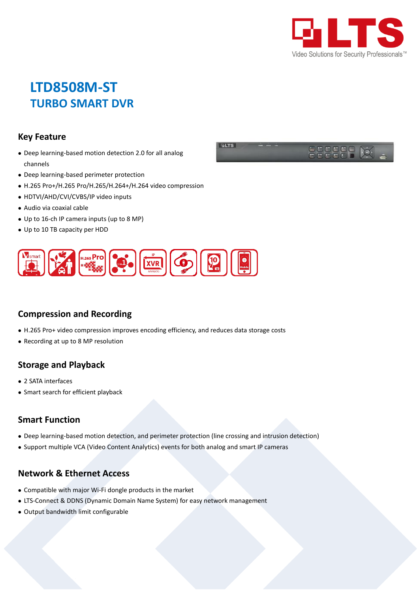

# **LTD8508M-ST TURBO SMART DVR**

#### **Key Feature**

- Deep learning-based motion detection 2.0 for all analog channels
- Deep learning-based perimeter protection
- H.265 Pro+/H.265 Pro/H.265/H.264+/H.264 video compression
- HDTVI/AHD/CVI/CVBS/IP video inputs
- Audio via coaxial cable
- Up to 16-ch IP camera inputs (up to 8 MP)
- Up to 10 TB capacity per HDD



### **Compression and Recording**

- H.265 Pro+ video compression improves encoding efficiency, and reduces data storage costs
- Recording at up to 8 MP resolution

#### **Storage and Playback**

- 2 SATA interfaces
- Smart search for efficient playback

#### **Smart Function**

- Deep learning-based motion detection, and perimeter protection (line crossing and intrusion detection)
- Support multiple VCA (Video Content Analytics) events for both analog and smart IP cameras

#### **Network & Ethernet Access**

- Compatible with major Wi-Fi dongle products in the market
- LTS-Connect & DDNS (Dynamic Domain Name System) for easy network management
- Output bandwidth limit configurable

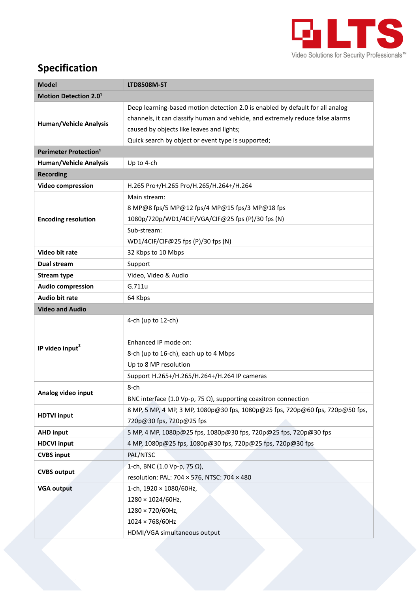

## **Specification**

| <b>Model</b>                            | <b>LTD8508M-ST</b>                                                             |  |  |  |  |  |
|-----------------------------------------|--------------------------------------------------------------------------------|--|--|--|--|--|
| <b>Motion Detection 2.01</b>            |                                                                                |  |  |  |  |  |
| <b>Human/Vehicle Analysis</b>           | Deep learning-based motion detection 2.0 is enabled by default for all analog  |  |  |  |  |  |
|                                         | channels, it can classify human and vehicle, and extremely reduce false alarms |  |  |  |  |  |
|                                         | caused by objects like leaves and lights;                                      |  |  |  |  |  |
|                                         | Quick search by object or event type is supported;                             |  |  |  |  |  |
| <b>Perimeter Protection<sup>1</sup></b> |                                                                                |  |  |  |  |  |
| <b>Human/Vehicle Analysis</b>           | Up to 4-ch                                                                     |  |  |  |  |  |
| <b>Recording</b>                        |                                                                                |  |  |  |  |  |
| <b>Video compression</b>                | H.265 Pro+/H.265 Pro/H.265/H.264+/H.264                                        |  |  |  |  |  |
|                                         | Main stream:                                                                   |  |  |  |  |  |
|                                         | 8 MP@8 fps/5 MP@12 fps/4 MP@15 fps/3 MP@18 fps                                 |  |  |  |  |  |
| <b>Encoding resolution</b>              | 1080p/720p/WD1/4CIF/VGA/CIF@25 fps (P)/30 fps (N)                              |  |  |  |  |  |
|                                         | Sub-stream:                                                                    |  |  |  |  |  |
|                                         | WD1/4CIF/CIF@25 fps (P)/30 fps (N)                                             |  |  |  |  |  |
| Video bit rate                          | 32 Kbps to 10 Mbps                                                             |  |  |  |  |  |
| Dual stream                             | Support                                                                        |  |  |  |  |  |
| <b>Stream type</b>                      | Video, Video & Audio                                                           |  |  |  |  |  |
| <b>Audio compression</b>                | G.711u                                                                         |  |  |  |  |  |
| <b>Audio bit rate</b>                   | 64 Kbps                                                                        |  |  |  |  |  |
| <b>Video and Audio</b>                  |                                                                                |  |  |  |  |  |
|                                         | 4-ch (up to 12-ch)                                                             |  |  |  |  |  |
|                                         |                                                                                |  |  |  |  |  |
| IP video input <sup>2</sup>             | Enhanced IP mode on:                                                           |  |  |  |  |  |
|                                         | 8-ch (up to 16-ch), each up to 4 Mbps                                          |  |  |  |  |  |
|                                         | Up to 8 MP resolution                                                          |  |  |  |  |  |
|                                         | Support H.265+/H.265/H.264+/H.264 IP cameras                                   |  |  |  |  |  |
| Analog video input                      | 8-ch                                                                           |  |  |  |  |  |
|                                         | BNC interface (1.0 Vp-p, 75 $\Omega$ ), supporting coaxitron connection        |  |  |  |  |  |
| <b>HDTVI</b> input                      | 8 MP, 5 MP, 4 MP, 3 MP, 1080p@30 fps, 1080p@25 fps, 720p@60 fps, 720p@50 fps,  |  |  |  |  |  |
|                                         | 720p@30 fps, 720p@25 fps                                                       |  |  |  |  |  |
| <b>AHD input</b>                        | 5 MP, 4 MP, 1080p@25 fps, 1080p@30 fps, 720p@25 fps, 720p@30 fps               |  |  |  |  |  |
| <b>HDCVI input</b>                      | 4 MP, 1080p@25 fps, 1080p@30 fps, 720p@25 fps, 720p@30 fps                     |  |  |  |  |  |
| <b>CVBS input</b>                       | PAL/NTSC                                                                       |  |  |  |  |  |
| <b>CVBS output</b>                      | 1-ch, BNC (1.0 Vp-p, 75 Ω),                                                    |  |  |  |  |  |
|                                         | resolution: PAL: 704 × 576, NTSC: 704 × 480                                    |  |  |  |  |  |
| <b>VGA output</b>                       | 1-ch, 1920 × 1080/60Hz,                                                        |  |  |  |  |  |
|                                         | 1280 × 1024/60Hz,                                                              |  |  |  |  |  |
|                                         | 1280 × 720/60Hz,                                                               |  |  |  |  |  |
|                                         | $1024 \times 768/60$ Hz                                                        |  |  |  |  |  |
|                                         | HDMI/VGA simultaneous output                                                   |  |  |  |  |  |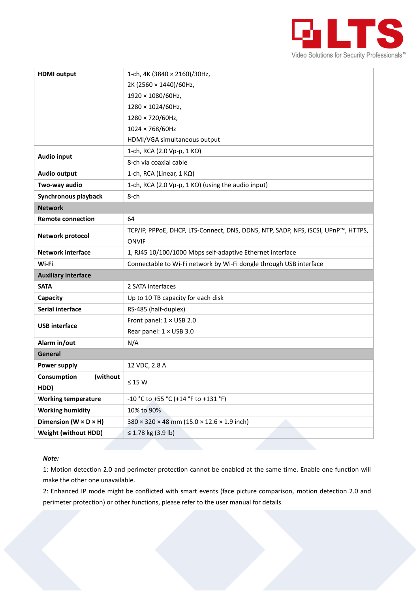

| <b>HDMI</b> output                  | 1-ch, 4K (3840 × 2160)/30Hz,                                                      |  |  |  |  |
|-------------------------------------|-----------------------------------------------------------------------------------|--|--|--|--|
|                                     | 2K (2560 × 1440)/60Hz,                                                            |  |  |  |  |
|                                     | 1920 × 1080/60Hz,                                                                 |  |  |  |  |
|                                     | 1280 × 1024/60Hz,                                                                 |  |  |  |  |
|                                     | 1280 × 720/60Hz,                                                                  |  |  |  |  |
|                                     | $1024 \times 768/60$ Hz                                                           |  |  |  |  |
|                                     | HDMI/VGA simultaneous output                                                      |  |  |  |  |
| <b>Audio input</b>                  | 1-ch, RCA (2.0 Vp-p, 1 KΩ)                                                        |  |  |  |  |
|                                     | 8-ch via coaxial cable                                                            |  |  |  |  |
| Audio output                        | 1-ch, RCA (Linear, $1 K\Omega$ )                                                  |  |  |  |  |
| Two-way audio                       | 1-ch, RCA (2.0 Vp-p, 1 KΩ) (using the audio input)                                |  |  |  |  |
| Synchronous playback                | 8-ch                                                                              |  |  |  |  |
| <b>Network</b>                      |                                                                                   |  |  |  |  |
| <b>Remote connection</b>            | 64                                                                                |  |  |  |  |
| Network protocol                    | TCP/IP, PPPoE, DHCP, LTS-Connect, DNS, DDNS, NTP, SADP, NFS, iSCSI, UPnP™, HTTPS, |  |  |  |  |
|                                     | <b>ONVIF</b>                                                                      |  |  |  |  |
| <b>Network interface</b>            | 1, RJ45 10/100/1000 Mbps self-adaptive Ethernet interface                         |  |  |  |  |
| Wi-Fi                               | Connectable to Wi-Fi network by Wi-Fi dongle through USB interface                |  |  |  |  |
| <b>Auxiliary interface</b>          |                                                                                   |  |  |  |  |
| <b>SATA</b>                         | 2 SATA interfaces                                                                 |  |  |  |  |
| Capacity                            | Up to 10 TB capacity for each disk                                                |  |  |  |  |
| <b>Serial interface</b>             | RS-485 (half-duplex)                                                              |  |  |  |  |
| <b>USB</b> interface                | Front panel: 1 × USB 2.0                                                          |  |  |  |  |
|                                     | Rear panel: 1 × USB 3.0                                                           |  |  |  |  |
| Alarm in/out                        | N/A                                                                               |  |  |  |  |
| General                             |                                                                                   |  |  |  |  |
| Power supply                        | 12 VDC, 2.8 A                                                                     |  |  |  |  |
| Consumption<br>(without             | $\leq 15$ W                                                                       |  |  |  |  |
| HDD)                                |                                                                                   |  |  |  |  |
| <b>Working temperature</b>          | -10 °C to +55 °C (+14 °F to +131 °F)                                              |  |  |  |  |
| <b>Working humidity</b>             | 10% to 90%                                                                        |  |  |  |  |
| Dimension ( $W \times D \times H$ ) | $380 \times 320 \times 48$ mm (15.0 $\times$ 12.6 $\times$ 1.9 inch)              |  |  |  |  |
| <b>Weight (without HDD)</b>         | ≤ 1.78 kg (3.9 lb)                                                                |  |  |  |  |

#### *Note:*

1: Motion detection 2.0 and perimeter protection cannot be enabled at the same time. Enable one function will make the other one unavailable.

2: Enhanced IP mode might be conflicted with smart events (face picture comparison, motion detection 2.0 and perimeter protection) or other functions, please refer to the user manual for details.